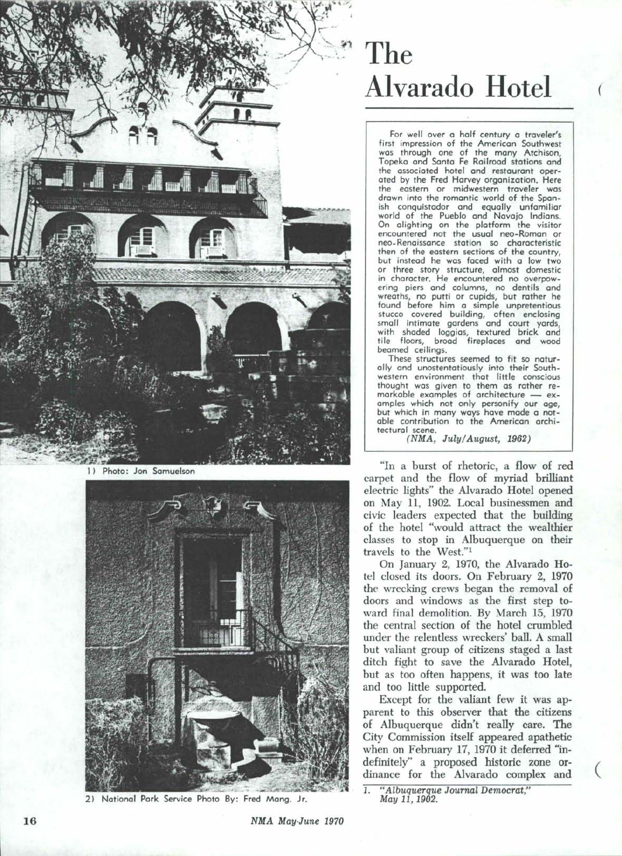

1) Photo: Jon Samuelson



<sup>2)</sup> National Park Service Photo By: Fred Mang. Jr.

## **The Alvarado Hotel**

(

For well over a half century a traveler's<br>first impression of the American Southwest was through one of the many Atchison, Topeka and Santa Fe Railroad stations and the associated hotel and restaurant operated by the Fred Harvey organization. Here the eastern or midwestern traveler was drown into the romantic world of the Sponish conquistador and equally unfamiliar world of the Pueblo and Navajo Indians. On alighting on the platform the visitor<br>encountered not the usual neo-Roman or neo-Renaissance station so characteristic<br>then of the eastern sections of the country, but instead he was faced with a low two or three story structure, almost domestic in character. He encountered no overpow- ering piers and columns, no dentils and wreaths, no putti or cupids, but rather he<br>found before him a simple unpretentious fucco covered building, often enclosing<br>small intimate gardens and court yards, small intimate gardens and court yards,<br>with shaded loggias, textured brick and tile floors, broad fireplaces and woad beamed ceilings.

These structures seemed to fit so naturally and unostentatiously into their Southwestern environment that little conscious<br>thought was given to them as rather remarkable examples of architecture - ex-<br>amples which not only personify our age, but which in many ways have made a notable contribution to the American archi-<br>tectural scene.

 $(NMA, July/August, 1962)$ 

"In a burst of rhetoric, a flow of red carpet and the flow of myriad brilliant electric lights" the Alvarado Hotel opened on May 11, 1902. Local businessmen and civic leaders expected that the building of the hotel "would attract the wealthier classes to stop in Albuquerque on their travels to the West."!

On January 2, 1970, the Alvarado Hotel closed its doors. On February 2, 1970 the wrecking crews began the removal of doors and windows as the first step toward final demolition. By March 15, 1970 the central section of the hotel crumbled under the relentless wreckers' ball. A small but valiant group of citizens staged a last ditch fight to save the Alvarado Hotel, but as too often happens, it was too late and too little supported.

Except for the valiant few it was apparent to this observer that the citizens of Albuquerque didn't really care. The City Commission itself appeared apathetic when on February 17, 1970 it deferred "indefinitely" a proposed historic zone ordinance for the Alvarado complex and

(

1. "Albuquerque Journal Democrat," May 11, 1902.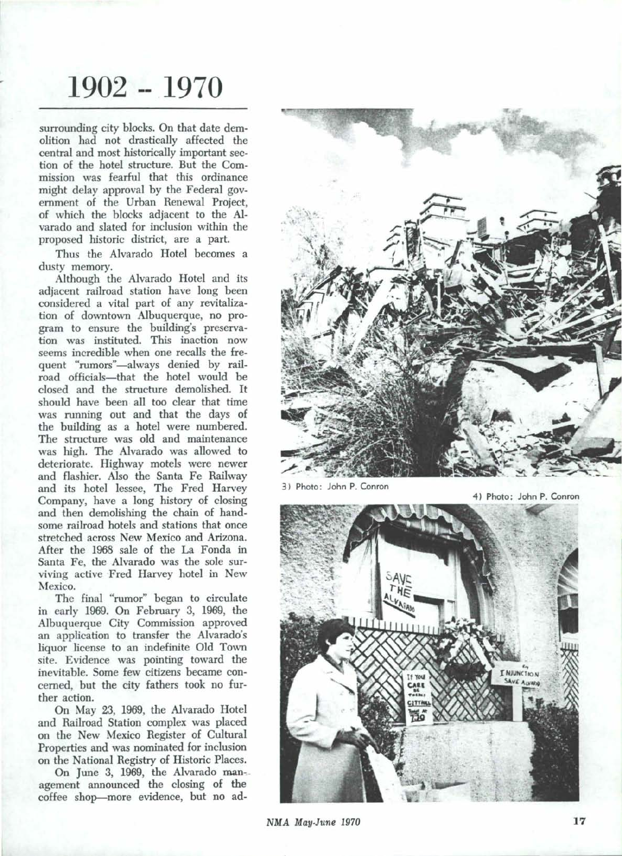## **1902 1970**

surrounding city blocks. On that date demolition had not drastically affected the central and most historically important section of the hotel structure. But the Commission was fearful that this ordinance might delay approval by the Federal government of the Urban Renewal Project, of which the blocks adjacent to the Alvarado and slated for inclusion within the proposed historic district, are a part.

Thus the Alvarado Hotel becomes a dusty memory.

Although the Alvarado Hotel and its adjacent railroad station have long been considered a vital part of any revitalization of downtown Albuquerque, no program to ensure the building's preservation was instituted. This inaction now seems incredible when one recalls the frequent "rumors"-always denied by railroad officials-that the hotel would be closed and the structure demolished. It should have been all too clear that time was running out and that the days of the building as a hotel were numbered. The structure was old and maintenance was high. The Alvarado was allowed to deteriorate. Highway motels were newer and flashier. Also the Santa Fe Railway and its hotel lessee, The Fred Harvey Company, have a long history of closing and then demolishing the chain of handsome railroad hotels and stations that once stretched across New Mexico and Arizona. After the 1968 sale of the La Fonda in Santa Fe, the Alvarado was the sole surviving active Fred Harvey hotel in New Mexico.

The final "rumor" began to circulate in early 1969. On February 3, 1969, the Albuquerque City Commission approved an application to transfer the Alvarado's liquor license to an indefinite Old Town site. Evidence was pointing toward the inevitable. Some few citizens became concerned, but the city fathers took no further action.

On May 23, 1969, the Alvarado Hotel and Railroad Station complex was placed on the New Mexico Register of Cultural Properties and was nominated for inclusion on the National Registry of Historic Places.

On June 3, 1969, the Alvarado man-. agement announced the closing of the coffee shop-more evidence, but no ad-



3) Photo: John P. Conron

4) Photo: John P. Conron



NMA May·June 1970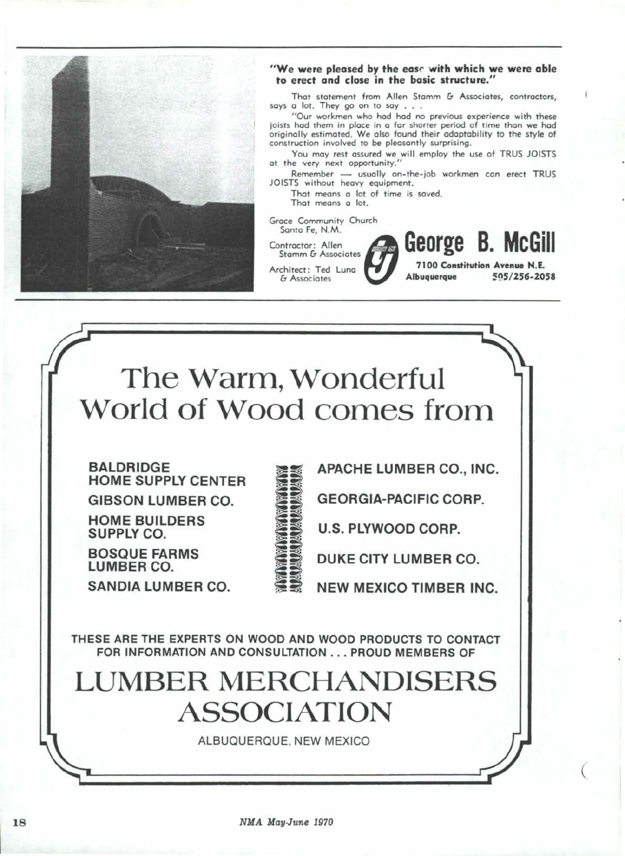

## "We were pleased by the ease with which we were able to erect and close in the basic structure."

That statement from Allen Stamm  $G$  Associates, contractors, says a lot. They go on to say . . .

" Our workmen who hod had no previous experience with these joists had them in place in a far shorter period of time than we had originally estimated. We also found their adaptability to the style of construction involved to be pleasantly surprising.

You may rest assured we will employ the use of TRUS JOISTS at the very next opportunity."

Remember - usually on-the-job workmen can erect TRUS JOISTS without heavy equipment.

That means a lot of time is saved. That means a lot.

Grace Community Church

Santa Fe, N.M.

Contractor: Allen Stamm & Associates Architect: Ted Luna

& Associates

7100 Constitution Avenue H.E. Albuquerque *51)5/256-2058* **George B. McGill**

 $\big($